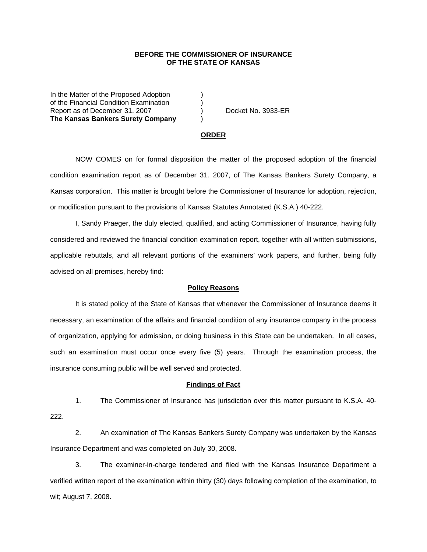## **BEFORE THE COMMISSIONER OF INSURANCE OF THE STATE OF KANSAS**

In the Matter of the Proposed Adoption of the Financial Condition Examination ) Report as of December 31. 2007 (and Separate No. 3933-ER **The Kansas Bankers Surety Company** )

#### **ORDER**

 NOW COMES on for formal disposition the matter of the proposed adoption of the financial condition examination report as of December 31. 2007, of The Kansas Bankers Surety Company, a Kansas corporation. This matter is brought before the Commissioner of Insurance for adoption, rejection, or modification pursuant to the provisions of Kansas Statutes Annotated (K.S.A.) 40-222.

 I, Sandy Praeger, the duly elected, qualified, and acting Commissioner of Insurance, having fully considered and reviewed the financial condition examination report, together with all written submissions, applicable rebuttals, and all relevant portions of the examiners' work papers, and further, being fully advised on all premises, hereby find:

## **Policy Reasons**

 It is stated policy of the State of Kansas that whenever the Commissioner of Insurance deems it necessary, an examination of the affairs and financial condition of any insurance company in the process of organization, applying for admission, or doing business in this State can be undertaken. In all cases, such an examination must occur once every five (5) years. Through the examination process, the insurance consuming public will be well served and protected.

#### **Findings of Fact**

 1. The Commissioner of Insurance has jurisdiction over this matter pursuant to K.S.A. 40- 222.

 2. An examination of The Kansas Bankers Surety Company was undertaken by the Kansas Insurance Department and was completed on July 30, 2008.

 3. The examiner-in-charge tendered and filed with the Kansas Insurance Department a verified written report of the examination within thirty (30) days following completion of the examination, to wit; August 7, 2008.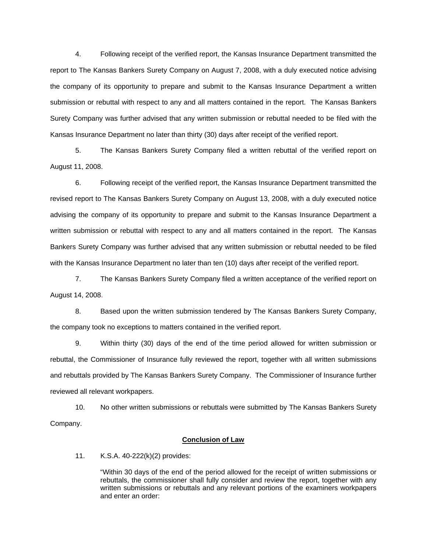4. Following receipt of the verified report, the Kansas Insurance Department transmitted the report to The Kansas Bankers Surety Company on August 7, 2008, with a duly executed notice advising the company of its opportunity to prepare and submit to the Kansas Insurance Department a written submission or rebuttal with respect to any and all matters contained in the report. The Kansas Bankers Surety Company was further advised that any written submission or rebuttal needed to be filed with the Kansas Insurance Department no later than thirty (30) days after receipt of the verified report.

 5. The Kansas Bankers Surety Company filed a written rebuttal of the verified report on August 11, 2008.

 6. Following receipt of the verified report, the Kansas Insurance Department transmitted the revised report to The Kansas Bankers Surety Company on August 13, 2008, with a duly executed notice advising the company of its opportunity to prepare and submit to the Kansas Insurance Department a written submission or rebuttal with respect to any and all matters contained in the report. The Kansas Bankers Surety Company was further advised that any written submission or rebuttal needed to be filed with the Kansas Insurance Department no later than ten (10) days after receipt of the verified report.

 7. The Kansas Bankers Surety Company filed a written acceptance of the verified report on August 14, 2008.

8. Based upon the written submission tendered by The Kansas Bankers Surety Company, the company took no exceptions to matters contained in the verified report.

 9. Within thirty (30) days of the end of the time period allowed for written submission or rebuttal, the Commissioner of Insurance fully reviewed the report, together with all written submissions and rebuttals provided by The Kansas Bankers Surety Company. The Commissioner of Insurance further reviewed all relevant workpapers.

 10. No other written submissions or rebuttals were submitted by The Kansas Bankers Surety Company.

## **Conclusion of Law**

11. K.S.A. 40-222(k)(2) provides:

"Within 30 days of the end of the period allowed for the receipt of written submissions or rebuttals, the commissioner shall fully consider and review the report, together with any written submissions or rebuttals and any relevant portions of the examiners workpapers and enter an order: